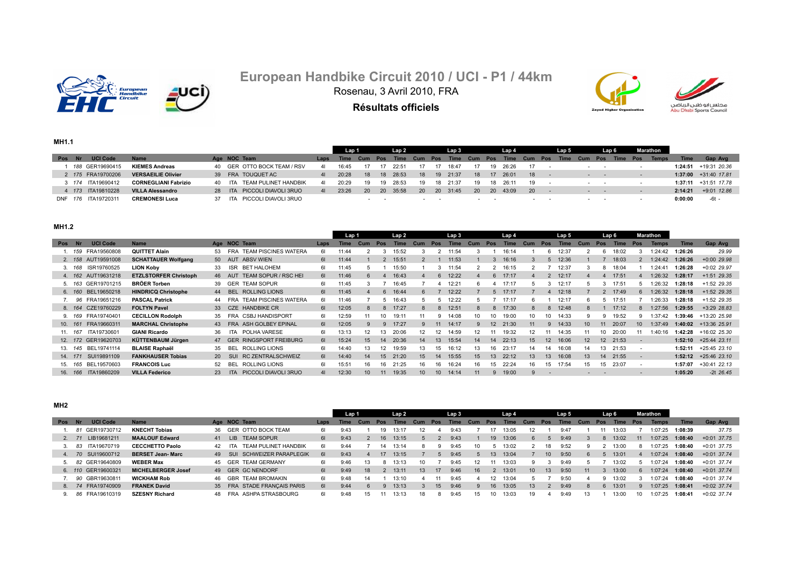

# **European Handbike Circuit 2010 / UCI - P1 / 44km** Rosenau, 3 Avril 2010, FRA

**Résultats officiels**





**MH1.1**

|            |                   |                             |                                |          | Lap 1       |         |      | Lap 2    |           | Lap 3        |     |            | Lap 4 |                   | Lap 5       |     |            | Lap 6 |            | Marathon     |             |                         |
|------------|-------------------|-----------------------------|--------------------------------|----------|-------------|---------|------|----------|-----------|--------------|-----|------------|-------|-------------------|-------------|-----|------------|-------|------------|--------------|-------------|-------------------------|
| <b>Pos</b> | <b>UCI Code</b>   | <b>Name</b>                 | Age NOC Team                   | Laps     | <b>Time</b> | Cum Pos |      | Time     | Cum Pos   | <b>Time</b>  | Cum | <b>Pos</b> | Time  | <b>Pos</b><br>Cum | <b>Time</b> | Cum | <b>Pos</b> | Time  | <b>Pos</b> | <b>Temps</b> | <b>Time</b> | Gap Avg                 |
|            | 188 GER19690415   | <b>KIEMES Andreas</b>       | 40 GER OTTO BOCK TEAM / RSV    | 41       | 16:45       |         |      | 22:51    | 17        | 18:47        |     | 19         | 26:26 | 17                |             |     | $ -$       |       |            |              |             | $1:24:51$ +19:31 20.36  |
|            | 2 175 FRA19700206 | <b>VERSAEILIE Olivier</b>   | 39 FRA TOUQUET AC              | 41       | 20:28       | 18      |      | 18 28:53 | 18        | $19$ $21:37$ | 18  |            | 26:01 | 18                |             |     | $ -$       |       |            |              |             | $1:37:00$ +31:40 17.81  |
|            | 3 174 ITA19690412 | <b>CORNEGLIANI Fabrizio</b> | 40 ITA TEAM PULINET HANDBIK    | 41       | 20:29       | 19      | 19   | 28:53    | 19        | 18 21:37     | 19  | 18         | 26.11 | 19                |             |     |            |       |            |              |             | $1:37:11 + 31:51$ 17.78 |
|            |                   | <b>VILLA Alessandro</b>     | 28 ITA PICCOLI DIAVOLI 3RUO    | $\Delta$ | 23:26       | 20 I    |      | 20 35:58 | <b>20</b> | 20 31:45     | 20  | <b>20</b>  | 43:09 | <b>20</b>         |             |     |            |       |            |              | 2:14:21     | +9:01 12.86             |
| DNF 176    | ITA19720311       | <b>CREMONESI Luca</b>       | PICCOLI DIAVOLI 3RUO<br>37 ITA |          |             |         | $ -$ |          | $\sim$    |              |     |            |       | $\sim$ $\sim$     |             |     | .          |       |            |              | 0:00:00     | -6t -                   |

**MH1.2**

|        |         |                     |                              |    |                                       |      | Lap 1 |                 |                  | Lap2        |                 |                 | Lap 3       |     |              | Lap 4       |                  |                | Lap 5       |                 |                 | Lap 6 |                          | <b>Marathon</b> |             |                         |
|--------|---------|---------------------|------------------------------|----|---------------------------------------|------|-------|-----------------|------------------|-------------|-----------------|-----------------|-------------|-----|--------------|-------------|------------------|----------------|-------------|-----------------|-----------------|-------|--------------------------|-----------------|-------------|-------------------------|
| Pos Nr |         | <b>UCI Code</b>     | <b>Name</b>                  |    | Age NOC Team                          | Laps | Time  | Cum             | Pos              | <b>Time</b> | Cum             | Pos             | <b>Time</b> | Cum | Pos          | <b>Time</b> | Cum              | Pos            | <b>Time</b> | Cum             | Pos             | Time  | Pos                      | <b>Temps</b>    | <b>Time</b> | Gap Avg                 |
|        | 1. 159  | FRA19560808         | <b>QUITTET Alain</b>         |    | 53 FRA TEAM PISCINES WATERA           | 61   | 11:44 |                 | 3                | 15:52       |                 |                 | 11:54       |     |              | 16:14       |                  | ĥ              | 12:37       |                 | 6               | 18:02 |                          | 1:24:42         | 1:26:26     | 29.99                   |
|        |         | 2. 158 AUT19591008  | <b>SCHATTAUER Wolfgang</b>   |    | 50 AUT ABSV WIEN                      | 61   | 11:44 |                 |                  | 15:51       |                 |                 | 11:53       |     | 3            | 16:16       |                  | $\overline{5}$ | 12:36       |                 |                 | 18:03 |                          | 1:24:42         | 1:26:26     | $+0:00$ 29.98           |
|        | 3. 168  | ISR19760525         | <b>LION Koby</b>             | 33 | BET HALOHEM<br><b>ISR</b>             | 61   | 11:45 | h.              |                  | 15:50       |                 | 3               | 11:54       |     |              | 16:15       |                  |                | 12:37       | 3               | 8               | 18:04 |                          | 1:24:41         | 1:26:28     | $+0:02$ 29.97           |
|        |         | 4. 162 AUT19631218  | <b>ETZLSTORFER Christoph</b> |    | 46 AUT TEAM SOPUR / RSC HEI           | 61   | 11:46 | 6               |                  | 16:43       |                 | 6               | 12:22       |     | 6            | 17:17       | $\Delta$         | $\overline{2}$ | 12:17       |                 |                 | 17:51 |                          | 1:26:32         | 1:28:17     | $+1:51$ 29.35           |
|        | 5. 163  | GER19701215         | <b>BRÖER Torben</b>          |    | 39 GER TEAM SOPUR                     | 61   | 11:45 |                 |                  | 16:45       |                 |                 | 12:21       |     |              | 17:17       |                  |                | 12:17       |                 |                 | 17:5  |                          | 1:26:32         | 1:28:18     | $+1:52$ 29.35           |
|        | 6. 160  | BEL19650218         | <b>HINDRICQ Christophe</b>   |    | 44 BEL ROLLING LIONS                  | 61   | 11:45 |                 | $6 \overline{6}$ | 16:44       | 6               |                 | 12:22       |     | $\mathbf{h}$ | 17:17       |                  |                | 12:18       |                 |                 | 17:49 | $6^{\circ}$              | 1:26:32         | 1:28:18     | $+1:52$ 29.35           |
|        | 96      | FRA19651216         | <b>PASCAL Patrick</b>        |    | <b>TEAM PISCINES WATERA</b><br>44 FRA | 61   | 11:46 |                 | $\mathbf{b}$     | 16:43       |                 |                 | 12:22       |     |              | 17:17       |                  |                | 12:17       | 6               |                 | 17:5  |                          | :26:33          | 1:28:18     | +1:52 29.35             |
|        | 8. 164  | CZE19760229         | <b>FOLTYN Pavel</b>          |    | 33 CZE HANDBIKE CR                    | 61   | 12:05 | 8               | 8                | 17:27       | 8               | -8              | 12:51       |     | 8            | 17:30       | 8                | -8             | 12:48       | 8               |                 | 17:12 | 8                        | 1:27:56         | 1:29:55     | $+3:29$ 28.83           |
|        | 9. 169  | FRA19740401         | <b>CECILLON Rodolph</b>      |    | 35 FRA CSBJ HANDISPORT                | 61   | 12:59 | 11              | 10               | 19:11       | 11              | 9               | 14:08       | 10  | 10           | 19:00       | 10               | 10             | 14:33       | 9               |                 | 19:52 |                          | 1:37:42         | 1:39:46     | +13:20 25.98            |
|        | 10. 161 | FRA19660311         | <b>MARCHAL Christophe</b>    |    | 43 FRA ASH GOLBEY EPINAL              | 61   | 12:05 | 9               | $\mathbf{q}$     | 17:27       | 9               | 11              | 14:17       | 9   | 12           | 21:30       | 11               | 9              | 14:33       | 10 <sup>1</sup> | 11              | 20:07 | 10 <sup>1</sup>          | 1:37:49         | 1:40:02     | +13:36 25.91            |
|        | 11. 167 | ITA19730601         | <b>GIANI Ricardo</b>         | 36 | POLHA VARESE<br><b>ITA</b>            | 61   | 13:13 | 12              | 13               | 20:06       | 12              | 12              | 14:59       | 12  |              | 19:32       | 12               |                | 14:35       |                 | 10              | 20:00 |                          | 1:40:16         | 1:42:28     | +16:02 25.30            |
|        |         | 12. 172 GER19620703 | KÜTTENBAUM Jürgen            |    | 47 GER RINGSPORT FREIBURG             | 61   | 15:24 | 15              | 14               | 20:36       | 14              | 13              | 15:54       | 14  | 14           | 22:13       | 15               | 12             | 16:06       | 12 <sup>2</sup> | 12 <sup>2</sup> | 21:53 | $\overline{\phantom{a}}$ |                 |             | $1:52:10 + 25:44$ 23.11 |
|        | 13. 145 | BEL19741114         | <b>BLAISE Raphaël</b>        | 35 | <b>ROLLING LIONS</b><br><b>BEL</b>    | 61   | 14:40 | 13              | 12               | 19:59       | 13              | מ!              | 16:12       | 13  | 16           | 23:17       | 14               | 14             | 16:08       | 14              | 13              | 21:53 | ۰.                       |                 | 1:52:11     | +25:45 23.10            |
|        | 14. 171 | SUI19891109         | <b>FANKHAUSER Tobias</b>     |    | <b>RC ZENTRALSCHWEIZ</b><br>20 SUI    | 61   | 14:40 | 14              | 15               | 21:20       | 15 <sup>1</sup> | 14              | 15:55       | 15  | 13           | 22:12       | 13 <sup>13</sup> | 13             | 16:08       | 13              | 14              | 21:55 | $\overline{\phantom{a}}$ |                 |             | $1:52:12 +25:46$ 23.10  |
|        | 15. 165 | BEL19570603         | <b>FRANCOIS Luc</b>          |    | <b>ROLLING LIONS</b><br>BEL           | 61   | 15:51 | 16              | 16               | 21:25       | 16              | 16.             | 16:24       | 16  |              | 22:24       | 16               | 15             | 17:54       | 15              | 15              | 23:07 | $\overline{\phantom{a}}$ |                 | 1:57:07     | +30:41 22.13            |
|        | 16. 166 | ITA19860209         | <b>VILLA Federico</b>        |    | PICCOLI DIAVOLI 3RUO<br><b>ITA</b>    | 41   | 12:30 | 10 <sup>1</sup> |                  | 19:35       | 10 <sup>1</sup> | 10 <sup>1</sup> | 14:14       | 11  | 9            | 19:00       |                  |                |             |                 |                 |       |                          |                 | 1:05:20     | $-2t$ 26.45             |

**MH2**

|        |                    |                           |                             |      | Lap 1 |     |     | Lap 2 |                 |     | Lap 3 |     |                 | Lap 4 |                 |                  | Lap 5 |     |     | Lap 6 |     | Marathon     |             |               |
|--------|--------------------|---------------------------|-----------------------------|------|-------|-----|-----|-------|-----------------|-----|-------|-----|-----------------|-------|-----------------|------------------|-------|-----|-----|-------|-----|--------------|-------------|---------------|
| Pos Nr | <b>UCI Code</b>    | <b>Name</b>               | Age NOC Team                | Laps | Time  | Cum | Pos | Time  | Cum             | Pos | Time  | Cum | Pos             | Time  | Cum             | Pos              | Time  | Cum | Pos | Time  | Pos | <b>Temps</b> | <b>Time</b> | Gap Avg       |
|        | 81 GER19730712     | <b>KNECHT Tobias</b>      | 36 GER OTTO BOCK TEAM       | -61  | 9:43  |     |     | 13:17 |                 |     | 9:43  |     |                 | 13:05 |                 |                  | 9:47  |     |     | 13:03 |     | 1:07:25      | 1:08:39     | 37.75         |
|        | 2. 71 LIB19681211  | <b>MAALOUF Edward</b>     | 41 LIB TEAM SOPUR           | 61   | 9:43  |     | 16  | 13:15 |                 |     | 9:43  |     | 19              | 13:06 |                 |                  | 9:49  |     |     | 13:02 | 11  | 1:07:25      | 1:08:40     | $+0:01$ 37.75 |
|        | 3. 83 ITA19670719  | <b>CECCHETTO Paolo</b>    | 42 ITA TEAM PULINET HANDBIK | 61   | 9:44  |     |     | 13:14 |                 |     | 9:45  |     |                 | 13:02 |                 |                  | 9:52  |     |     | 13:00 |     | 1:07:25      | 1:08:40     | +0:01 37.75   |
|        | 4. 70 SUI19600712  | <b>BERSET Jean-Marc</b>   | 49 SUI SCHWEIZER PARAPLEGIK | 61   | 9:43  |     | 17  | 13:15 |                 |     | 9:45  |     | 13 <sup>7</sup> | 13:04 |                 | 10 <sup>1</sup>  | 9:50  |     |     | 13:01 |     | 1:07:24      | 1:08:40     | $+0.01$ 37.74 |
|        | 5. 82 GER19640809  | <b>WEBER Max</b>          | 45 GER TEAM GERMANY         | 61   | 9:46  |     | -8  | 13:13 |                 |     | 9:45  |     |                 | 13:03 |                 |                  | 9:49  |     |     | 13:02 |     | 1:07:24      | 1:08:40     | $+0:01$ 37.74 |
|        | 6. 110 GER19600321 | <b>MICHELBERGER Josef</b> | 49 GER GC NENDORF           | 61   | 9:49  | 18  |     | 13:11 | 13 <sup>1</sup> | 17  | 9:46  | 16  | $\mathbf{z}$    | 13:01 | 10 <sup>1</sup> | 13 <sup>13</sup> | 9:50  | 11  |     | 13:00 | 6   | 1:07:24      | 1:08:40     | $+0.01$ 37.74 |
|        | 7. 90 GBR19630811  | <b>WICKHAM Rob</b>        | 46 GBR TEAM BROMAKIN        | 61   | 9:48  |     |     | 13:10 |                 |     | 9:45  |     |                 | 13:04 |                 |                  | 9:50  |     |     | 13.02 |     | 1:07:24      | 1:08:40     | $+0:01$ 37.74 |
|        | 8. 74 FRA19740909  | <b>FRANEK David</b>       | 35 FRA STADE FRANCAIS PARIS | 61   | 9:44  | 6.  |     | 13:13 |                 |     | 9:46  |     |                 | 13:05 | 13 <sup>1</sup> |                  | 9:49  |     |     | 13:01 |     | 1:07:25      | 1:08:41     | $+0.02$ 37.74 |
|        | 86 FRA19610319     | <b>SZESNY Richard</b>     | 48 FRA ASHPA STRASBOURG     | 61   | 9:48  | 15  |     | 13:13 | 18              | ж.  | 9:45  | 15  |                 | 13:03 | 19              |                  | 9:49  | 13  |     | 13:00 |     | 1:07:25      | 1:08:41     | +0:02 37.74   |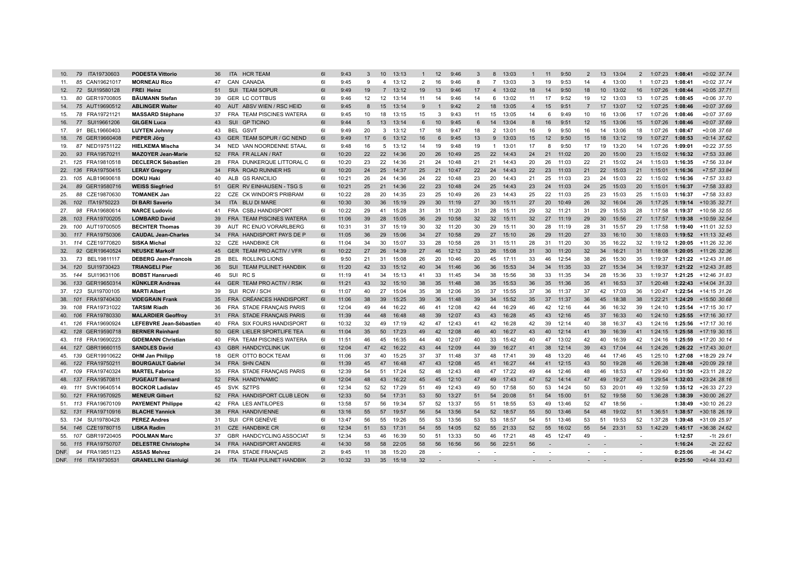| 10.  | 79      | ITA19730603                                | <b>PODESTA Vittorio</b>                       | 36       | <b>HCR TEAM</b><br><b>ITA</b>        | 61       | 9:43           | 3        | 10             | 13:13          |                | 12       | 9:46           | 3               | 8              | 13:03          |                | 11              | 9:50           | $\overline{2}$  | 13              | 13:04          | $\overline{2}$           | 1:07:23            | 1:08:41            | +0:02 37.74                  |
|------|---------|--------------------------------------------|-----------------------------------------------|----------|--------------------------------------|----------|----------------|----------|----------------|----------------|----------------|----------|----------------|-----------------|----------------|----------------|----------------|-----------------|----------------|-----------------|-----------------|----------------|--------------------------|--------------------|--------------------|------------------------------|
| 11.  |         | 85 CAN19621017                             | <b>MORNEAU Rico</b>                           | 47       | CAN CANADA                           | 61       | 9:45           | 9        | $\overline{4}$ | 13:12          | $\overline{2}$ | 16       | 9:46           | 8               | $\overline{7}$ | 13:03          | 3              | 19              | 9:53           | 14              | $\overline{4}$  | 13:00          | $\mathbf{1}$             | 1:07:23            | 1:08:41            | +0:02 37.74                  |
| 12.  |         | 72 SUI19580128                             | <b>FREI Heinz</b>                             | 51       | SUI TEAM SOPUR                       | 61       | 9:49           | 19       | $\overline{7}$ | 13:12          | 19             | 13       | 9:46           | 17              | $\overline{4}$ | 13:02          | 18             | 14              | 9:50           | 18              | 10 <sup>°</sup> | 13:02          | 16                       | 1:07:26            | 1:08:44            | $+0:05$ 37.71                |
| 13.  |         | 80 GER19700805                             | <b>BÄUMANN Stefan</b>                         | 39       | <b>GER LC COTTBUS</b>                | 61       | 9:46           | 12       | 12             | 13:14          | 11             | 14       | 9:46           | 14              | 6              | 13:02          | 11             | 17              | 9:52           | 19              | 12              | 13:03          | 13                       | 1:07:25            | 1:08:45            | +0:06 37.70                  |
| 14.  |         | 75 AUT19690512                             | <b>ABLINGER Walter</b>                        | 40       | AUT ABSV WIEN / RSC HEID             | 61       | 9:45           | 8        | 15             | 13:14          | 9              |          | 9:42           | $\overline{2}$  | 18             | 13:05          | $\overline{4}$ | 15              | 9:51           | $\overline{7}$  | 17              | 13:07          | 12 <sup>2</sup>          | 1:07:25            | 1:08:46            | +0:07 37.69                  |
| 15.  |         | 78 FRA19721121                             | <b>MASSARD Stéphane</b>                       | 37       | FRA TEAM PISCINES WATERA             | 61       | 9:45           | 10       | 18             | 13:15          | 15             | 3        | 9:43           | 11              | 15             | 13:05          | 14             | 6               | 9:49           | 10              | 16              | 13:06          | 17                       | 1:07:26            | 1:08:46            | +0:07 37.69                  |
| 16.  |         | 77 SUI19661206                             | <b>GILGEN Luca</b>                            | 43       | SUI<br><b>GP TICINO</b>              | 61       | 9:44           | 5        | 13             | 13:14          | 6              | 10       | 9:45           | 6               | 14             | 13:04          | 8              | 16              | 9:51           | 12              | 15              | 13:06          | 15                       | 1:07:26            | 1:08:46            | +0:07 37.69                  |
| 17.  |         | 91 BEL19660403                             | <b>LUYTEN Johnny</b>                          | 43       | BEL GSVT                             | 61       | 9:49           | 20       | 3              | 13:12          | 17             | 18       | 9:47           | 18              | $\overline{2}$ | 13:01          | 16             | 9               | 9:50           | 16              | 14              | 13:06          | 18                       | 1:07:26            | 1:08:47            | $+0:08$ 37.68                |
| 18.  |         | 76 GER19660408                             | <b>PIEPER Jörg</b>                            | 43       | GER TEAM SOPUR / GC NEND             | 61       | 9:49           | 17       | 6              | 13:12          | 16             | 6        | 9:45           | 13              | 9              | 13:03          | 15             | 12              | 9:50           | 15              | 18              | 13:12          | 19                       | 1:07:27            | 1:08:53            | $+0:14$ 37.62                |
| 19.  |         | 87 NED19751122                             | <b>HIELKEMA Mischa</b>                        | 34       | NED VAN NOORDENNE STAAL              | 61       | 9:48           | 16       | $5^{\circ}$    | 13:12          | 14             | 19       | 9:48           | 19              | $\mathbf{1}$   | 13:01          | 17             | 8               | 9:50           | 17              | 19              | 13:20          | 14                       | 1:07:26            | 1:09:01            | $+0:22$ 37.55                |
| 20.  |         | 93 FRA19570211                             | <b>MAZOYER Jean-Marie</b>                     | 52       | FRA FR ALLAN / RAT                   | 61       | 10:20          | 22       | 22             | 14:36          | 20             | 26       | 10:49          | 25              | 22             | 14:43          | 24             | 21              | 11:02          | 20              | 20              | 15:00          | 23                       | 1:15:02            | 1:16:32            | $+7:53$ 33.86                |
|      |         | 21. 125 FRA19810518                        | <b>DECLERCK Sébastien</b>                     | 28       | FRA DUNKERQUE LITTORAL C             | 61       | 10:20          | 23       | 22             | 14:36          | 21             | 24       | 10:48          | 21              | 21             | 14:43          | 20             | 26              | 11:03          | 22              | 21              | 15:02          | 24                       | 1:15:03            | 1:16:35            | +7:56 33.84                  |
|      |         | 22. 136 FRA19750415                        | <b>LERAY Gregory</b>                          | 34       | FRA ROAD RUNNER HS                   | 61       | 10:20          | 24       | 25             | 14:37          | 25             | 21       | 10:47          | 22              | 24             | 14:43          | 22             | 23              | 11:03          | 21              | 22              | 15:03          | 21                       | 1:15:01            | 1:16:36            | +7:57 33.84                  |
|      |         | 23. 105 ALB19690618                        | <b>DOKU Haki</b>                              | 40       | ALB GS RANCILIO                      | 61       | 10:21          | 26       | 24             | 14:36          | 24             | 22       | 10:48          | 23              | 20             | 14:43          | 21             | 25              | 11:03          | 23              | 24              | 15:03          | 22                       | 1:15:02            | 1:16:36            | +7:57 33.83                  |
| 24.  |         | 89 GER19580716                             | <b>WEISS Siegfried</b>                        | 51       | <b>GER RV EINHAUSEN - TSG S</b>      | 61       | 10:21          | 25       | 21             | 14:36          | 22             | 23       | 10:48          | 24              | 25             | 14:43          | 23             | 24              | 11:03          | 24              | 25              | 15:03          | 20                       | 1:15:01            | 1:16:37            | +7:58 33.83                  |
| 25.  |         | 88 CZE19870630                             | <b>TOMANEK Jan</b>                            | 22       | CZE CK WINDOR'S PRIBRAM              | 61       | 10:22          | 28       | 20             | 14:35          | 23             | 25       | 10:49          | 26              | 23             | 14:43          | 25             | 22              | 11:03          | 25              | 23              | 15:03          | 25                       | 1:15:03            | 1:16:37            | +7:58 33.83                  |
|      |         | 26. 102 ITA19750223                        | <b>DI BARI Saverio</b>                        | 34       | ITA BLU DI MARE                      | 61       | 10:30          | 30       | 36             | 15:19          | 29             | 30       | 11:19          | 27              | 30             | 15:11          | 27             | 20              | 10:49          | 26              | 32              | 16:04          | 26                       | 1:17:25            | 1:19:14            | +10:35 32.71                 |
| 27.  |         | 98 FRA19680614                             | <b>NARCE Ludovic</b>                          | 41       | FRA CSBJ HANDISPORT                  | 61       | 10:22          | 29       | 41             | 15:28          | 31             | 31       | 11:20          | 31              | 28             | 15:11          | 29             | 32              | 11:21          | 31              | 29              | 15:53          | 28                       | 1:17:58            | 1:19:37            | +10:58 32.55                 |
|      |         | 28. 103 FRA19700205                        | <b>LOMBARD David</b>                          | 39       | FRA TEAM PISCINES WATERA             | 61       | 11:06          | 39       | 28             | 15:05          | 36             | 29       | 10:58          | 32 <sup>2</sup> | 32             | 15:11          | 32             | 27              | 11:19          | 29              | 30 <sup>°</sup> | 15:56          | 27                       | 1:17:57            | 1:19:38            | +10:59 32.54                 |
| 29.  |         | 100 AUT19700505                            | <b>BECHTER Thomas</b>                         | 39       | RC ENJO VORARLBERG<br>AUT            | 61       | 10:31          | 31       | 37             | 15:19          | 30             | 32       | 11:20          | 30              | 29             | 15:11          | 30             | 28              | 11:19          | 28              | 31              | 15:57          | 29                       | 1:17:58            | 1:19:40            | +11:01 32.53                 |
|      |         | 30. 117 FRA19750306                        | <b>CAUDAL Jean-Charles</b>                    | 34       | FRA HANDISPORT PAYS DE P             | 61       | 11:05          | 36       | 29             | 15:06          | 34             | 27       | 10:58          | 29              | 27             | 15:10          | 26             | 29              | 11:20          | 27              | 33              | 16:10          | 30                       | 1:18:03            | 1:19:52            | $+11:13$ 32.45               |
|      |         | 31. 114 CZE19770820                        | <b>SISKA Michal</b>                           | 32       | CZE HANDBIKE CR                      | 61       | 11:04          | 34       | 30             | 15:07          | 33             | 28       | 10:58          | 28              | 31             | 15:11          | 28             | 31              | 11:20          | 30              | 35              | 16:22          | 32                       | 1:19:12            | 1:20:05            | +11:26 32.36                 |
| 32.  |         | 92 GER19640524                             | <b>NEUSKE Markolf</b>                         | 45       | GER TEAM PRO ACTIV / VFR             | 61       | 10:22          | 27       | 26             | 14:39          | 27             | 46       | 12:12          | 33              | 26             | 15:08          | 31             | 30 <sup>°</sup> | 11:20          | 32 <sup>2</sup> | 34              | 16:21          | 31                       | 1:18:08            |                    | 1:20:05 +11:26 32.36         |
| 33.  |         | 73 BEL19811117                             | <b>DEBERG Jean-Francois</b>                   | 28       | <b>BEL ROLLING LIONS</b>             | 61       | 9:50           | 21       | 31             | 15:08          | 26             | 20       | 10:46          | 20              | 45             | 17:11          | 33             | 46              | 12:54          | 38              | 26              | 15:30          | 35                       | 1:19:37            |                    | 1:21:22 +12:43 31.86         |
|      |         | 34. 120 SUI19730423                        | <b>TRIANGELI Pier</b>                         | 36       | SUI TEAM PULINET HANDBIK             | 61       | 11:20          | 42       | 33             | 15:12          | 40             | 34       | 11:46          | 36              | 36             | 15:53          | 34             | 34              | 11:35          | 33              | 27              | 15:34          | 34                       | 1:19:37            |                    | 1:21:22 +12:43 31.85         |
|      |         | 35. 144 SUI19631106                        | <b>BOBST Hansruedi</b>                        | 46       | SUI<br>RC S                          | 61       | 11:19          | 41       | 34             | 15:13          | 41             | 33       | 11:45          | 34              | 38             | 15:56          | 38             | 33              | 11:35          | 34              | 28              | 15:36          | 33                       | 1:19:37            | 1:21:25            | +12:46 31.83                 |
|      |         | 36. 133 GER19650314                        | <b>KÜNKLER Andreas</b>                        | 44       | GER TEAM PRO ACTIV / RSK<br>SUI      | 61<br>61 | 11:21          | 43       | 32<br>27       | 15:10          | 38             | 35<br>38 | 11:48          | 38              | 35<br>37       | 15:53          | 36             | 35<br>36        | 11:36          | 35<br>37        | 41<br>42        | 16:53<br>17:03 | 37<br>36                 | 1:20:48<br>1:20:47 | 1:22:43            | +14:04 31.33                 |
|      |         | 37. 123 SUI19700105<br>38. 101 FRA19740430 | <b>MARTI Albert</b><br><b>VIDEGRAIN Frank</b> | 39<br>35 | RCW / SCH<br>FRA CRÉANCES HANDISPORT | 61       | 11:07<br>11:06 | 40<br>38 | 39             | 15:04<br>15:25 | 35<br>39       | 36       | 12:06<br>11:48 | 35<br>39        | 34             | 15:55<br>15:52 | 37<br>35       | 37              | 11:37<br>11:37 | 36              | 45              | 18:38          | 38                       | 1:22:21            | 1:22:54<br>1:24:29 | +14:15 31.26<br>+15:50 30.68 |
|      |         | 39. 108 FRA19731022                        | <b>TARSIM Riadh</b>                           | 36       | FRA STADE FRANÇAIS PARIS             | 61       | 12:04          | 49       | 44             | 16:22          | 46             | 41       | 12:08          | 42              | 44             | 16:29          | 46             | 42              | 12:16          | 44              | 36              | 16:32          | 39                       | 1:24:10            |                    | 1:25:54 +17:15 30.17         |
|      |         | 40. 106 FRA19780330                        | <b>MALARDIER Geoffrov</b>                     | 31       | FRA STADE FRANÇAIS PARIS             | 61       | 11:39          | 44       | 48             | 16:48          | 48             | 39       | 12:07          | 43              | 43             | 16:28          | 45             | 43              | 12:16          | 45              | 37              | 16:33          | 40                       | 1:24:10            | 1:25:55            | +17:16 30.17                 |
|      |         | 41. 126 FRA19690924                        | LEFEBVRE Jean-Sébastien                       | 40       | FRA SIX FOURS HANDISPORT             | 61       | 10:32          | 32       | 49             | 17:19          | 42             | 47       | 12:43          | 41              | 42             | 16:28          | 42             | 39              | 12:14          | 40              | 38              | 16:37          | 43                       | 1:24:16            | 1:25:56            | +17:17 30.16                 |
|      |         | 42. 128 GER19590718                        | <b>BERNER Reinhard</b>                        | 50       | <b>GER LIELER SPORTLIFE TEA</b>      | 61       | 11:04          | 35       | 50             | 17:23          | 49             | 42       | 12:08          | 46              | 40             | 16:27          | 43             | 40              | 12:14          | 41              | 39              | 16:39          | 41                       | 1:24:15            | 1:25:58            | +17:19 30.15                 |
|      |         | 43. 118 FRA19690223                        | <b>GIDEMANN Christian</b>                     | 40       | FRA TEAM PISCINES WATERA             | 61       | 11:51          | 46       | 45             | 16:35          | 44             | 40       | 12:07          | 40              | 33             | 15:42          | 40             | 47              | 13:02          | 42              | 40              | 16:39          | 42                       | 1:24:16            |                    | 1:25:59 +17:20 30.14         |
|      |         | 44. 127 GBR19660115                        | <b>SANDLES David</b>                          | 43       | <b>GBR HANDCYCLINK UK</b>            | 61       | 12:04          | 47       | 42             | 16:22          | 43             | 44       | 12:09          | 44              | 39             | 16:27          | 41             | 38              | 12:14          | 39              | 43              | 17:04          | 44                       | 1:24:26            |                    | $1:26:22$ +17:43 30.01       |
|      |         | 45. 139 GER19910622                        | <b>OHM Jan Philipp</b>                        | 18       | <b>GER OTTO BOCK TEAM</b>            | 61       | 11:06          | 37       | 40             | 15:25          | 37             | 37       | 11:48          | 37              | 48             | 17:41          | 39             | 48              | 13:20          | 46              | 44              | 17:46          | 45                       | 1:25:10            | 1:27:08            | +18:29 29.74                 |
|      | 46. 122 | FRA19750211                                | <b>BOURGAULT Gabriel</b>                      | 34       | FRA SHN CAEN                         | 61       | 11:39          | 45       | 47             | 16:48          | 47             | 43       | 12:08          | 45              | 41             | 16:27          | 44             | 41              | 12:15          | 43              | 50              | 19:28          | 46                       | 1:26:38            | 1:28:48            | +20:09 29.18                 |
|      |         | 47. 109 FRA19740324                        | <b>MARTEL Fabrice</b>                         | 35       | FRA STADE FRANÇAIS PARIS             | 61       | 12:39          | 54       | 51             | 17:24          | 52             | 48       | 12:43          | 48              | 47             | 17:22          | 49             | 44              | 12:46          | 48              | 46              | 18:53          | 47                       | 1:29:40            | 1:31:50            | +23:11 28.22                 |
|      | 48. 137 | FRA19570811                                | <b>PUGEAUT Bernard</b>                        | 52       | FRA HANDYNAMIC                       | 61       | 12:04          | 48       | 43             | 16:22          | 45             | 45       | 12:10          | 47              | 49             | 17:43          | 47             | 52              | 14:14          | 47              | 49              | 19:27          | 48                       | 1:29:54            | 1:32:03            | +23:24 28.16                 |
|      |         | 49. 111 SVK19640514                        | <b>BOCKOR Ladislav</b>                        | 45       | SVK SZTPS                            | 61       | 12:34          | 52       | 52             | 17:29          | 51             | 49       | 12:43          | 49              | 50             | 17:58          | 50             | 53              | 14:24          | 50              | 53              | 20:01          | 49                       | 1:32:59            | 1:35:12            | +26:33 27.23                 |
|      | 50. 121 | FRA19570925                                | <b>MENEUR Gilbert</b>                         | 52       | FRA HANDISPORT CLUB LEON             | 61       | 12:33          | 50       | 54             | 17:31          | 53             | 50       | 13:27          | 51              | 54             | 20:08          | 51             | 54              | 15:00          | 51              | 52              | 19:58          | 50                       | 1:36:28            | 1:38:39            | +30:00 26.27                 |
|      |         | 51. 113 FRA19670109                        | <b>PAYEMENT Philippe</b>                      | 42       | FRA LES ANTILOPES                    | 61       | 13:58          | 57       | 56             | 19:34          | 57             | 52       | 13:37          | 55              | 51             | 18:55          | 53             | 49              | 13:46          | 52              | 47              | 18:56          | $\overline{\phantom{a}}$ |                    | 1:38:49            | +30:10 26.23                 |
|      | 52. 131 | FRA19710916                                | <b>BLACHE Yannick</b>                         | 38       | FRA HANDIVIENNE                      | 61       | 13:16          | 55       | 57             | 19:57          | 56             | 54       | 13:56          | 54              | 52             | 18:57          | 55             | 50              | 13:46          | 54              | 48              | 19:02          | 51                       | 1:36:51            | 1:38:57            | +30:18 26.19                 |
|      | 53. 134 | SUI19780428                                | <b>PEREZ Andres</b>                           | 31       | SUI CFR GENÈVE                       | 61       | 13:47          | 56       | 55             | 19:26          | 55             | 53       | 13:56          | 53              | 53             | 18:57          | 54             | 51              | 13:46          | 53              | 51              | 19:53          | 52                       | 1:37:28            | 1:39:48            | +31:09 25.97                 |
|      | 54. 146 | CZE19780715                                | <b>LISKA Radim</b>                            | 31       | CZE HANDBIKE CR                      | 61       | 12:34          | 51       | 53             | 17:31          | 54             | 55       | 14:05          | 52              | 55             | 21:33          | 52             | 55              | 16:02          | 55              | 54              | 23:31          | 53                       | 1:42:29            | 1:45:17            | +36:38 24.62                 |
| 55.  |         | 107 GBR19720405                            | <b>POOLMAN Marc</b>                           | 37       | <b>GBR HANDCYCLING ASSOCIAT</b>      | 51       | 12:34          | 53       | 46             | 16:39          | 50             | 51       | 13:33          | 50              | 46             | 17:21          | 48             | 45              | 12:47          | 49              |                 |                | ٠                        |                    | 1:12:57            | $-1129.61$                   |
| 56.  |         | 115 FRA19750707                            | <b>DELESTRE Christophe</b>                    | 34       | FRA HANDISPORT ANGERS                | 41       | 14:30          | 58       | 58             | 22:05          | 58             | 56       | 16:56          | 56              | 56             | 22:51          | 56             |                 |                |                 |                 |                |                          |                    | 1:16:24            | $-2t$ 22.62                  |
| DNF. |         | 94 FRA19851123                             | <b>ASSAS Mehrez</b>                           | 24       | FRA STADE FRANÇAIS                   | 21       | 9:45           | 11       | 38             | 15:20          | 28             | $\sim$   |                |                 |                |                |                |                 |                |                 |                 |                |                          |                    | 0:25:06            | -4t 34.42                    |
|      |         | DNF. 116 ITA19730531                       | <b>GRANELLINI Gianluigi</b>                   | 36       | ITA TEAM PULINET HANDBIK             | 21       | 10:32          | 33       | 35             | 15:18          | 32             |          |                |                 |                |                |                |                 |                |                 |                 |                |                          |                    | 0:25:50            | $+0:44$ 33.43                |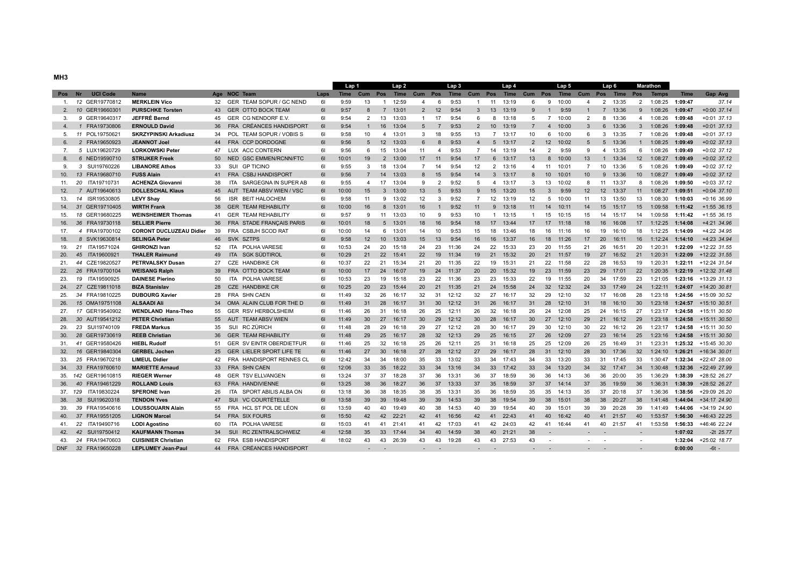|  |  | ۰ |
|--|--|---|

|     |                              |                                |    |                                    |                | Lap 1       |                 |                  | Lap <sub>2</sub> |                         |                 | Lap <sub>3</sub> |                 |                 | Lap 4    |                |                  | Lap 5 |                                             |                 | Lap 6   |                 | <b>Marathon</b> |             |                      |
|-----|------------------------------|--------------------------------|----|------------------------------------|----------------|-------------|-----------------|------------------|------------------|-------------------------|-----------------|------------------|-----------------|-----------------|----------|----------------|------------------|-------|---------------------------------------------|-----------------|---------|-----------------|-----------------|-------------|----------------------|
| Pos | <b>UCI Code</b><br><b>Nr</b> | <b>Name</b>                    |    | Age NOC Team                       | Laps           | <b>Time</b> | Cum             |                  |                  | Pos Time Cum Pos        |                 |                  |                 |                 |          |                |                  |       | Time Cum Pos Time Cum Pos Time Cum Pos Time |                 |         | Pos             | <b>Temps</b>    | <b>Time</b> | Gap Avg              |
|     | 1. 12 GER19770812            | <b>MERKLEIN Vico</b>           |    | 32 GER TEAM SOPUR / GC NEND        | 61             | 9:59        | 13              | $\overline{1}$   | 12:59            | $\overline{\mathbf{A}}$ | 6               | 9:53             | $\mathbf{1}$    |                 | 11 13:19 | 6              | 9                | 10:00 | $\overline{4}$                              |                 | 2 13:35 | $\overline{2}$  | 1:08:25         | 1:09:47     | 37.14                |
| 2.  | 10 GER19660301               | <b>PURSCHKE Torsten</b>        | 43 | <b>GER OTTO BOCK TEAM</b>          | 61             | 9:57        | 8               | $\overline{7}$   | 13:01            | $\overline{2}$          | 12              | 9:54             | $\mathbf{3}$    | 13              | 13:19    | 9              | $\overline{1}$   | 9:59  | -1                                          | $\overline{7}$  | 13:36   | 9               | 1:08:26         | 1:09:47     | $+0:00$ 37.14        |
| 3.  | 9 GER19640317                | JEFFRÉ Bernd                   | 45 | GER CG NENDORF E.V.                | 61             | 9:54        | $\overline{2}$  | 13               | 13:03            | $\overline{1}$          | 17              | 9:54             | 6               | 8               | 13:18    | 5              | $\overline{7}$   | 10:00 | $\overline{2}$                              | 8               | 13:36   | $\overline{4}$  | 1:08:26         | 1:09:48     | $+0:01$ 37.13        |
| 4.  | 1 FRA19730806                | <b>ERNOULD David</b>           | 36 | FRA CRÉANCES HANDISPORT            | 61             | 9:54        | $\mathbf{1}$    | 16               | 13:04            | 5                       | $\overline{7}$  | 9:53             | $\overline{2}$  | 10 <sup>1</sup> | 13:19    | $\overline{7}$ | $\overline{4}$   | 10:00 | 3                                           | 6               | 13:36   | $\mathbf{3}$    | 1:08:26         | 1:09:48     | $+0:01$ 37.13        |
| 5.  | 11 POL19750621               | <b>SKRZYPINSKI Arkadiusz</b>   | 34 | <b>POL</b><br>TEAM SOPUR / VOBIS S | 61             | 9:58        | 10 <sup>1</sup> | $\overline{4}$   | 13:01            | $\mathbf{3}$            | 18              | 9:55             | 13              | $\overline{7}$  | 13:17    | 10             | 6                | 10:00 | 6                                           | 3               | 13:35   | $7^{\circ}$     | 1:08:26         | 1:09:48     | $+0:01$ 37.13        |
| 6.  | 2 FRA19650923                | <b>JEANNOT Joel</b>            | 44 | FRA CCP DORDOGNE                   | 61             | 9:56        | 5               | 12               | 13:03            | 6                       | 8               | 9:53             | $\overline{4}$  | $5^{\circ}$     | 13:17    | $\overline{2}$ | 12               | 10:02 | $5\overline{5}$                             |                 | 5 13:36 | 1               | 1:08:25         | 1:09:49     | $+0:02$ 37.13        |
| 7.  | 5 LUX19620729                | <b>LORKOWSKI Peter</b>         | 47 | LUX ACC CONTERN                    | 61             | 9:56        | 6               | 15               | 13:04            | 11                      | $\overline{4}$  | 9:53             | $\overline{7}$  | 14              | 13:19    | 14             | 2                | 9:59  | 9                                           | 4               | 13:35   | 6               | 1:08:26         | 1:09:49     | $+0:02$ 37.12        |
| 8.  | 6 NED19590710                | <b>STRIJKER Freek</b>          | 50 | NED GSC EMMEN/RCNN/FTC             | 61             | 10:01       | 19              | 2                | 13:00            | 17                      | 11              | 9:54             | 17              | 6               | 13:17    | 13             | 8                | 10:00 | 13                                          | $\mathbf 1$     | 13:34   | 12              | 1:08:27         | 1:09:49     | $+0:02$ 37.12        |
| 9.  | 3 SUI19760226                | <b>LIBANORE Athos</b>          | 33 | SUI GP TICINO                      | 61             | 9:55        | 3               | 18               | 13:04            | $\overline{7}$          | 14              | 9:54             | 12              |                 | 2 13:16  | $\overline{4}$ | 11               | 10:01 | $\overline{7}$                              | 10              | 13:36   | 5               | 1:08:26         | 1:09:49     | $+0:02$ 37.12        |
| 10. | 13 FRA19680710               | <b>FUSS Alain</b>              | 41 | FRA CSBJ HANDISPORT                | 61             | 9:56        | $\overline{7}$  | 14               | 13:03            | 8                       | 15              | 9:54             | 14              | 3               | 13:17    | $\mathsf{R}$   | 10 <sup>10</sup> | 10:01 | 10 <sup>1</sup>                             | 9               | 13:36   | 10 <sup>1</sup> | 1:08:27         | 1:09:49     | $+0:02$ 37.12        |
| 11. | 20 ITA19710731               | <b>ACHENZA Giovanni</b>        | 38 | <b>ITA</b><br>SARGEGNA IN SUPER AB | 61             | 9:55        | $\overline{a}$  | 17               | 13:04            | 9                       | $\overline{2}$  | 9:52             | 5               | $\overline{4}$  | 13:17    | 3              | 13               | 10:02 | 8                                           | 11              | 13:37   | 8               | 1:08:26         | 1:09:50     | $+0:03$ 37.12        |
| 12. | 7 AUT19640613                | <b>DOLLESCHAL Klaus</b>        | 45 | AUT TEAM ABSV WIEN / VSC           | 61             | 10:00       | 15              | $\mathbf{3}$     | 13:00            | 13                      | $5\overline{5}$ | 9:53             | 9               | 15              | 13:20    | 15             | 3                | 9:59  | 12 <sup>2</sup>                             | 12 <sup>2</sup> | 13:37   | 11              | 1:08:27         | 1:09:51     | $+0:04$ 37.10        |
| 13. | 14 ISR19530805               | <b>LEVY Shav</b>               | 56 | ISR BEIT HALOCHEM                  | 61             | 9:58        | 11              | 9                | 13:02            | 12                      | 3               | 9:52             | $\overline{7}$  | 12              | 13:19    | 12             | 5                | 10:00 | 11                                          | 13              | 13:50   | 13              | 1:08:30         | 1:10:03     | $+0:16$ 36.99        |
| 14. | 31 GER19710405               | <b>WIRTH Frank</b>             | 38 | <b>GER TEAM REHABILITY</b>         | 61             | 10:00       | 16              | 8                | 13:01            | 16                      | $\mathbf{1}$    | 9:52             | 11              | 9               | 13:18    | 11             | 14               | 10:11 | 14                                          | 15              | 15:17   | 15              | 1:09:58         | 1:11:42     | $+1:55$ 36.15        |
| 15. | 18 GER19680225               | <b>WEINSHEIMER Thomas</b>      | 41 | <b>GER TEAM REHABILITY</b>         | 61             | 9:57        | 9               | 11               | 13:03            | 10                      | 9               | 9:53             | 10              | $\mathbf{1}$    | 13:15    | $\overline{1}$ | 15               | 10:15 | 15                                          | 14              | 15:17   | 14              | 1:09:58         | 1:11:42     | $+1:55$ 36.15        |
| 16. | 36 FRA19730118               | <b>SELLIER Pierre</b>          | 36 | FRA STADE FRANÇAIS PARIS           | 61             | 10:01       | 18              | $5^{\circ}$      | 13:01            | 18                      | 16              | 9:54             | 18              | 17              | 13:44    | 17             | 17               | 11:18 | 18                                          | 16              | 16:08   | 17              | 1:12:25         | 1:14:08     | +4:21 34.96          |
| 17. | 4 FRA19700102                | <b>CORONT DUCLUZEAU Didier</b> | 39 | FRA CSBJH SCOD RAT                 | 61             | 10:00       | 14              | 6                | 13:01            | 14                      | 10              | 9:53             | 15              | 18              | 13:46    | 18             | 16               | 11:16 | 16                                          | 19              | 16:10   | 18              | 1:12:25         | 1:14:09     | +4:22 34.95          |
| 18. | 8 SVK19630814                | <b>SELINGA Peter</b>           | 46 | SVK SZTPS                          | 61             | 9:58        | 12              | 10 <sup>10</sup> | 13:03            | 15                      | 13              | 9:54             | 16              | 16              | 13:37    | 16             | 18               | 11:26 | 17                                          | 20              | 16:11   | 16              | 1:12:24         | 1:14:10     | +4:23 34.94          |
| 19. | 21 ITA19571024               | <b>GHIRONZI Ivan</b>           | 52 | ITA POLHA VARESE                   | 61             | 10:53       | 24              | 20               | 15:18            | 24                      | 23              | 11:36            | 24              | 22              | 15:33    | 23             | 20               | 11:55 | 21                                          | 26              | 16:51   | 20              | 1:20:31         | 1:22:09     | +12:22 31.55         |
| 20. | 45 ITA19600921               | <b>THALER Raimund</b>          | 49 | ITA SGK SÜDTIROL                   | 61             | 10:29       | 21              | 22               | 15:41            | 22                      | 19              | 11:34            | 19              | 21              | 15:32    | 20             | 21               | 11:57 | 19                                          | 27              | 16:52   | 21              | 1:20:31         | 1:22:09     | +12:22 31.55         |
| 21. | 44 CZE19820527               | <b>PETRVALSKY Dusan</b>        | 27 | CZE HANDBIKE CR                    | 61             | 10:37       | 22              | 21               | 15:34            | 21                      | 20              | 11:35            | 22              | 19              | 15:31    | 21             | 22               | 11:58 | 22                                          | 28              | 16:53   | 19              | 1:20:31         | 1:22:11     | +12:24 31.54         |
| 22. | 26 FRA19700104               | <b>WEISANG Ralph</b>           | 39 | FRA OTTO BOCK TEAM                 | 61             | 10:00       | 17              | 24               | 16:07            | 19                      | 24              | 11:37            | 20              | 20              | 15:32    | 19             | 23               | 11:59 | 23                                          | 29              | 17:01   | 22              | 1:20:35         | 1:22:19     | +12:32 31.48         |
| 23. | 19 ITA19590925               | <b>DAINESE Pierino</b>         | 50 | <b>ITA</b><br>POLHA VARESE         | 61             | 10:53       | 23              | 19               | 15:18            | 23                      | 22              | 11:36            | 23              | 23              | 15:33    | 22             | 19               | 11:55 | 20                                          | 34              | 17:59   | 23              | 1:21:05         | 1:23:16     | +13:29 31.13         |
| 24. | 27 CZE19811018               | <b>BIZA Stanislav</b>          | 28 | <b>CZE HANDBIKE CR</b>             | 61             | 10:25       | 20              | 23               | 15:44            | 20 <sup>2</sup>         | 21              | 11:35            | 21              | 24              | 15:58    | 24             | 32               | 12:32 | 24                                          | 33              | 17:49   | 24              | 1:22:11         | 1:24:07     | +14:20 30.81         |
| 25. | 34 FRA19810225               | <b>DUBOURG Xavier</b>          | 28 | FRA SHN CAEN                       | 61             | 11:49       | 32              | 26               | 16:17            | 32                      | 31              | 12:12            | 32              | 27              | 16:17    | 32             | 29               | 12:10 | 32                                          | 17              | 16:08   | 28              | 1:23:18         | 1:24:56     | +15:09 30.52         |
| 26. | 15 OMA19751108               | <b>ALSAADI Ali</b>             | 34 | OMA ALAIN CLUB FOR THE D           | 61             | 11:49       | 31              | 28               | 16:17            | 31                      | 30              | 12:12            | 31              | 26              | 16:17    | 31             | 28               | 12:10 | 31                                          | 18              | 16:10   | 30              | 1:23:18         | 1:24:57     | $+15:10$ 30.51       |
| 27. | 17 GER19540902               | <b>WENDLAND Hans-Theo</b>      | 55 | <b>GER RSV HERBOLSHEIM</b>         | 61             | 11:46       | 26              | 31               | 16:18            | 26                      | 25              | 12:11            | 26              | 32              | 16:18    | 26             | 24               | 12:08 | 25                                          | 24              | 16:15   | 27              | 1:23:17         | 1:24:58     | +15:11 30.50         |
| 28. | 30 AUT19541212               | <b>PETER Christian</b>         | 55 | AUT TEAM ABSV WIEN                 | 61             | 11:49       | 30              | 27               | 16:17            | 30                      | 29              | 12:12            | 30 <sup>°</sup> | 28              | 16:17    | 30             | 27               | 12:10 | 29                                          | 21              | 16:12   | 29              | 1:23:18         | 1:24:58     | +15:11 30.50         |
| 29. | 23 SUI19740109               | <b>FREDA Markus</b>            | 35 | SUI<br>RC ZÜRICH                   | 61             | 11:48       | 28              | 29               | 16:18            | 29                      | 27              | 12:12            | 28              | 30              | 16:17    | 29             | 30               | 12:10 | 30                                          | 22              | 16:12   | 26              | 1:23:17         | 1:24:58     | +15:11 30.50         |
| 30. | 28 GER19730619               | <b>REEB Christian</b>          | 36 | <b>GER TEAM REHABILITY</b>         | 61             | 11:48       | 29              | 25               | 16:17            | 28                      | 32              | 12:13            | 29              | 25              | 16:15    | 27             | 26               | 12:09 | 27                                          | 23              | 16:14   | 25              | 1:23:16         | 1:24:58     | +15:11 30.50         |
| 31. | 41 GER19580426               | <b>HIEBL Rudolf</b>            | 51 | <b>GER SV EINTR OBERDIETFUR</b>    | 61             | 11:46       | 25              | 32               | 16:18            | 25                      | 26              | 12:11            | 25              | 31              | 16:18    | 25             | 25               | 12:09 | 26                                          | 25              | 16:49   | 31              | 1:23:31         |             | 1:25:32 +15:45 30.30 |
| 32. | 16 GER19840304               | <b>GERBEL Jochen</b>           | 25 | <b>GER LIELER SPORT LIFE TE</b>    | 61             | 11:46       | 27              | 30               | 16:18            | 27                      | 28              | 12:12            | 27              | 29              | 16:17    | 28             | 31               | 12:10 | 28                                          | 30              | 17:36   | 32              | 1:24:10         | 1:26:21     | +16:34 30.01         |
| 33. | 25 FRA19670218               | <b>LIMEUL Didier</b>           | 42 | FRA HANDISPORT RENNES CL           | 61             | 12:42       | 34              | 34               | 18:00            | 35                      | 33              | 13:02            | 33              | 34              | 17:43    | 34             | 33               | 13:20 | 33                                          | 31              | 17:45   | 33              | 1:30:47         | 1:32:34     | +22:47 28.00         |
| 34. | 33 FRA19760610               | <b>MARIETTE Arnaud</b>         | 33 | FRA SHN CAEN                       | 61             | 12:06       | 33              | 35               | 18:22            | 33                      | 34              | 13:16            | 34              | 33              | 17:42    | 33             | 34               | 13:20 | 34                                          | 32 <sup>2</sup> | 17:47   | 34              | 1:30:48         | 1:32:36     | +22:49 27.99         |
| 35. | 142 GER19610815              | <b>RIEGER Werner</b>           | 48 | <b>GER TSV ELLVANGEN</b>           | 61             | 13:24       | 37              | 37               | 18:28            | 37                      | 36              | 13:31            | 36              | 37              | 18:59    | 36             | 36               | 14:13 | 36                                          | 36              | 20:00   | 35              | 1:36:29         | 1:38:39     | +28:52 26.27         |
| 36. | 40 FRA19461229               | <b>ROLLAND Louis</b>           | 63 | FRA HANDIVIENNE                    | 61             | 13:25       | 38              | 36               | 18:27            | 36                      | 37              | 13:33            | 37              | 35              | 18:59    | 37             | 37               | 14:14 | 37                                          | 35              | 19:59   | 36              | 1:36:31         | 1:38:39     | +28:52 26.27         |
|     | 37. 129 ITA19830224          | <b>SPERONE Ivan</b>            | 26 | <b>ITA</b><br>SPORT ABILIS ALBA ON | 61             | 13:18       | 36              | 38               | 18:35            | 38                      | 35              | 13:31            | 35              | 36              | 18:59    | 35             | 35               | 14:13 | 35                                          | 37              | 20:18   | 37              | 1:36:36         | 1:38:56     | +29:09 26.20         |
| 38. | 38 SUI19620318               | <b>TENDON Yves</b>             | 47 | SUI VC COURTÉTELLE                 | 61             | 13:58       | 39              | 39               | 19:48            | 39                      | 39              | 14:53            | 39              | 38              | 19:54    | 39             | 38               | 15:01 | 38                                          | 38              | 20:27   | 38              | 1:41:48         | 1:44:04     | +34:17 24.90         |
| 39. | 39 FRA19540616               | <b>LOUSSOUARN Alain</b>        | 55 | FRA HCL ST POL DE LÉON             | 61             | 13:59       | 40              | 40               | 19:49            | 40                      | 38              | 14:53            | 40              | 39              | 19:54    | 40             | 39               | 15:01 | 39                                          | 39              | 20:28   | 39              | 1:41:49         | 1:44:06     | +34:19 24.90         |
| 40. | 37 FRA19551205               | <b>LIGNON Marcel</b>           | 54 | FRA SIX FOURS                      | 61             | 15:50       | 42              | 42               | 22:21            | 42                      | 41              | 16:56            | 42              | 41              | 22:43    | 41             | 40               | 16:42 | 40                                          | 41              | 21:57   | 40              | 1:53:57         | 1:56:30     | +46:43 22.25         |
| 41. | 22 ITA19490716               | <b>LODI Agostino</b>           | 60 | ITA POLHA VARESE                   | 61             | 15:03       | 41              | 41               | 21:41            | 41                      | 42              | 17:03            | 41              | 42              | 24:03    | 42             | 41               | 16:44 | 41                                          | 40              | 21:57   | 41              | 1:53:58         | 1:56:33     | +46:46 22.24         |
| 42. | 42 SUI19750412               | <b>KAUFMANN Thomas</b>         | 34 | SUI RC ZENTRALSCHWEIZ              | 41             | 12:58       | 35              | 33               | 17:44            | 34                      | 40              | 14:59            | 38              | 40              | 21:21    | 38             |                  |       |                                             |                 |         |                 |                 | 1:07:02     | -2t 25.77            |
| 43. | 24 FRA19470603               | <b>CUISINIER Christian</b>     | 62 | FRA ESB HANDISPORT                 | 4 <sub>1</sub> | 18:02       | 43              | 43               | 26:39            | 43                      | 43              | 19:28            | 43              | 43              | 27:53    | 43             | $\sim$           |       | $\sim$                                      |                 |         |                 |                 | 1:32:04     | +25:02 18.77         |
|     | DNF 32 FRA19650228           | <b>LEPLUMEY Jean-Paul</b>      | 44 | FRA CRÉANCES HANDISPORT            |                |             |                 |                  |                  |                         |                 |                  |                 |                 |          |                |                  |       |                                             |                 |         |                 |                 | 0:00:00     | $-6t -$              |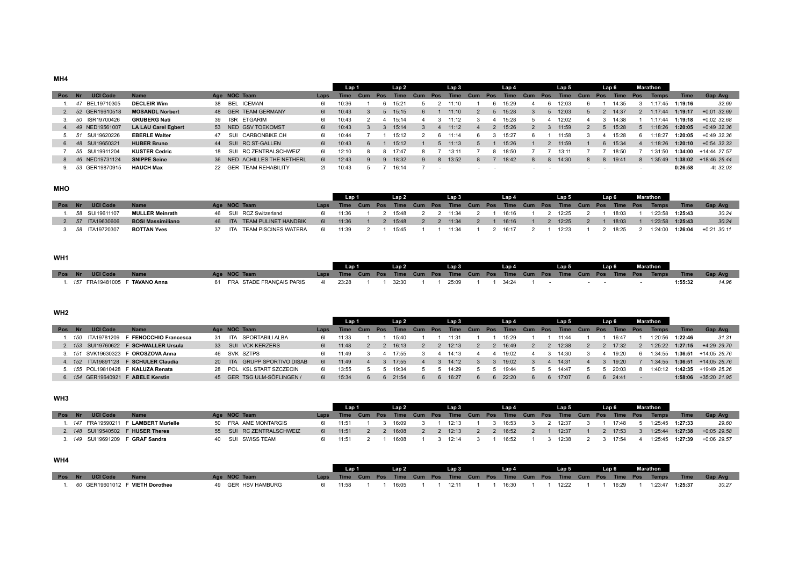# **MH4**

|        |                   |                            |    |                             |      | Lap 1       |            |     | Lap 2       |     |        | Lap 3       |            |     | Lap 4 |            |     | Lap 5       |     |        | Lap 6       |                          | <b>Marathon</b> |         |               |
|--------|-------------------|----------------------------|----|-----------------------------|------|-------------|------------|-----|-------------|-----|--------|-------------|------------|-----|-------|------------|-----|-------------|-----|--------|-------------|--------------------------|-----------------|---------|---------------|
| Pos Nr | <b>UCI Code</b>   | <b>Name</b>                |    | Age NOC Team                | Laps | <b>Time</b> | <b>Cum</b> | Pos | <b>Time</b> | Cum | Pos    | <b>Time</b> | <b>Cum</b> | Pos | Time  | <b>Cum</b> | Pos | <b>Time</b> | Cum | Pos    | <b>Time</b> | Pos                      | <b>Temps</b>    | Time    | Gap Avg       |
|        | 47 BEL19710305    | <b>DECLEIR Wim</b>         |    | 38 BEL ICEMAN               |      | 10:36       |            |     | 15:21       |     |        |             |            |     | 15:29 |            |     | 12:03       |     |        | 14:35       |                          | :17:45          | 1:19:16 | 32.69         |
|        | 2. 52 GER19610518 | <b>MOSANDL Norbert</b>     |    | 48 GER TEAM GERMANY         | 61   | 10:43       |            |     | 15:15       |     |        | 11:10       |            |     | 15:28 |            |     | 12:03       |     |        | 14:37       |                          | :17:44          | 1:19:17 | $+0.01$ 32.69 |
|        | 50 ISR19700426    | <b>GRUBERG Nati</b>        | 39 | ISR ETGARIM                 | 61   | 10:43       |            |     | 15:14       |     |        | 11:12       |            |     | 15:28 |            |     | 12:02       |     |        | 14:38       |                          | 1:17:44         | 1:19:18 | $+0.02$ 32.68 |
| 4.     | 49 NED19561007    | <b>LA LAU Carel Egbert</b> |    | 53 NED GSV TOEKOMST         | 61   | 10:43       |            |     | 15:14       |     |        | 11:12       |            |     | 15:26 |            |     | 11:59       |     |        | 15:28       |                          | :18:26          | 1:20:05 | $+0.49$ 32.36 |
|        | SUI19620226       | <b>EBERLE Walter</b>       | 47 | SUI CARBONBIKE.CH           | 61   | 10:44       |            |     | 15:12       |     |        | 11:14       | Б          |     | 15:27 |            |     | 11:58       |     |        | 15:28       |                          | :18:27          | 1:20:05 | $+0.49$ 32.36 |
|        | 6. 48 SUI19650321 | <b>HUBER Bruno</b>         |    | 44 SUI RC ST-GALLEN         | 61   | 10:43       |            |     | 15:12       |     |        | 11:13       |            |     | 15:26 |            |     | 11:59       |     |        | 15:34       |                          | :18:26          | 1:20:10 | $+0.54$ 32.33 |
|        | 55 SUI19911204    | <b>KUSTER Cedric</b>       |    | 18 SUI RC ZENTRALSCHWEIZ    | 61   | 12:10       |            |     | 17:47       |     |        | 13:11       |            |     | 18:50 |            |     | 13:11       |     |        | 18:50       |                          | :31:50          | 1:34:00 | +14:44 27.57  |
|        | 8. 46 NED19731124 | <b>SNIPPE Seine</b>        |    | 36 NED ACHILLES THE NETHERL | 61   | 12:43       |            |     | 18:32       |     | $\sim$ | 13:52       | 8          |     | 18:42 | 8          | 8   | 14:30       |     | 8      | 19:41       |                          | :35:49          | 1:38:02 | +18:46 26.44  |
|        | 53 GER19870915    | <b>HAUCH Max</b>           |    | 22 GER TEAM REHABILITY      |      | 10:43       |            |     | 16:14       |     |        |             |            |     |       |            |     |             |     | $\sim$ |             | $\overline{\phantom{a}}$ |                 | 0:26:58 | $-4t$ 32.03   |

# **MHO**

|        |                   |                          |  |                             |      | Lan 1 |  | Lap 2   |  | Lap 3     |  | Lap 4 |  | Lap 5   |  | Lap 6 | Marathon                                                                             |                     |                |
|--------|-------------------|--------------------------|--|-----------------------------|------|-------|--|---------|--|-----------|--|-------|--|---------|--|-------|--------------------------------------------------------------------------------------|---------------------|----------------|
| Pos Nr | <b>UCI Code</b>   | <b>Name</b>              |  | Age NOC Team                |      |       |  |         |  |           |  |       |  |         |  |       | Laps Time Cum Pos Time Cum Pos Time Cum Pos Time Cum Pos Time Cum Pos Time Pos Temps | $\blacksquare$ Time | <b>Gap Avg</b> |
|        | . 58 SUI19611107  | <b>MULLER Meinrath</b>   |  | 46 SUI RCZ Switzerland      |      | 11:36 |  | 2 15:48 |  | 2 2 11:34 |  | 16:16 |  | 2 12:25 |  | 18:03 | 1:23:58  1:25:43                                                                     |                     | 30.24          |
|        | 2. 57 ITA19630606 | <b>BOSI Massimiliano</b> |  | 46 ITA TEAM PULINET HANDBIK | - 61 | 11:36 |  | 15:48   |  | 11:34     |  | 16:16 |  | 12:25   |  | 18:03 |                                                                                      | 1:23:58  1:25:43    | 30.24          |
|        | 3. 58 ITA19720307 | <b>BOTTAN Yves</b>       |  | 37 ITA TEAM PISCINES WATERA |      | 11:39 |  | 15:45   |  | 11:34     |  | 16:17 |  | 12:23   |  | 18:25 |                                                                                      | 1:24:00  1:26:04    | +0:21 30.11    |

# **WH1**

|                                  |                                        | Lap 1 |  | Lan 2           |  | Lap 3 and the state of the state of the state of the state of the state of the state of the state of the state |  | Lap 4 Lap 5 |  |  |  | Lap 6 Marathon |         |                                                                                                   |
|----------------------------------|----------------------------------------|-------|--|-----------------|--|----------------------------------------------------------------------------------------------------------------|--|-------------|--|--|--|----------------|---------|---------------------------------------------------------------------------------------------------|
| Pos Nr UCI Code Name             | Age NOC Team                           |       |  |                 |  |                                                                                                                |  |             |  |  |  |                |         | Laps Time Cum Pos Time Cum Pos Time Cum Pos Time Cum Pos Time Cum Pos Time Pos Temps Time Gap Avg |
| 1. 157 FRA19481005 F TAVANO Anna | 61 FRA STADE FRANCAIS PARIS 41 23:28 1 |       |  | $1 \quad 32.30$ |  | 25.09                                                                                                          |  | . 34.24     |  |  |  |                | 1:55:32 | 14.96                                                                                             |

# **WH2**

|     |     |                 |                                       |                             |      | Lap 1       |         | Lap 2       |            |     | Lap 3 |     |     | Lap 4 |     |            | Lap 5           |     | Lap 6 |          | Marathon |         |                        |
|-----|-----|-----------------|---------------------------------------|-----------------------------|------|-------------|---------|-------------|------------|-----|-------|-----|-----|-------|-----|------------|-----------------|-----|-------|----------|----------|---------|------------------------|
| Pos |     | <b>UCI Code</b> | <b>Name</b>                           | Age NOC Team                | Laps | <b>Time</b> | Cum Pos | <b>Time</b> | <b>Cum</b> | Pos | Time  | Cum | Pos | Time  | Cum | <b>Pos</b> | Time            | Cum | Pos   | Time Pos | Temps    | Time.   | Gap Avg                |
|     | 150 | ITA19781209     | F FENOCCHIO Francesca                 | 31 ITA SPORTABILI ALBA      |      | 11:33       |         | 15:40       |            |     | 11:31 |     |     | 15.29 |     |            |                 |     |       | 16:47    | 1:20:56  | 1:22:46 | 31.31                  |
|     |     |                 | 2. 153 SUI19760622 F SCHWALLER Ursula | 33 SUI VCK KERZERS          |      | 11:48       |         | 16:13       |            |     | 12:13 |     |     | 16:49 |     |            | 12:38           |     |       | 17:32    | 1:25:22  | 1:27:15 | +4:29 29.70            |
|     |     |                 | 3. 151 SVK19630323 F OROSZOVA Anna    | 46 SVK SZTPS                |      | 11.49       |         |             |            |     | 14.13 |     |     | 19.02 |     |            | 14:30           |     |       | 19:20    | 1:34:55  | 1:36:51 | +14:05 26.76           |
|     |     |                 | 4. 152 ITA19891128 F SCHULER Claudia  | 20 ITA GRUPP SPORTIVO DISAB |      | 11:49       |         | 17:55       |            |     | 14:12 |     |     | 19:02 |     |            | 14:31           |     |       | 19:20    | 1:34:55  | 1:36:51 | $+14:05$ 26.76         |
|     |     |                 | 5. 155 POL19810428 F KALUZA Renata    | 28 POL KSL START SZCZECIN   |      | 13:55       |         | 19:34       |            |     | 14:29 |     |     | 19:44 |     |            | $14:4^-$        |     |       |          | 1:40:12  |         | $1:42:35$ +19:49 25.26 |
|     |     |                 | 6. 154 GER19640921 F ABELE Kerstin    | 45 GER TSG ULM-SÖFLINGEN /  |      | 15:34       |         | 21:54       |            |     | 16:27 |     |     | 22:20 |     |            | $6 \quad 17:07$ |     |       | 6 24:41  |          | 1:58:06 | +35:20 21.95           |

# **WH3**

|     |     |                             |                                       |                          |     | l an 1 |  | Lap 2   |  | Lap 3 |  | Lap 4   |  | Lap 5   |  | Lap 6 | Marathon                                                                             |                 |               |
|-----|-----|-----------------------------|---------------------------------------|--------------------------|-----|--------|--|---------|--|-------|--|---------|--|---------|--|-------|--------------------------------------------------------------------------------------|-----------------|---------------|
| Pos | -NF | <b>UCI Code</b>             | <b>Name</b>                           | Age NOC Team             |     |        |  |         |  |       |  |         |  |         |  |       | Laps Time Cum Pos Time Cum Pos Time Cum Pos Time Cum Pos Time Cum Pos Time Pos Temps | <b>Time</b>     | Gap Avg       |
|     |     |                             | 1. 147 FRA19590211 F LAMBERT Murielle | 50 FRA AME MONTARGIS     | 61  | 11:51  |  | 3 16:09 |  | 12:13 |  | 3 16:53 |  | 2 12:37 |  | 17:48 | 1:25:45 1:27:33                                                                      |                 | 29.60         |
|     |     |                             | 2. 148 SUI19540502 F HUSER Theres     | 55 SUI RC ZENTRALSCHWEIZ | -61 | 11:51  |  | 16:08   |  | 12:13 |  | 16:52   |  | 12:37   |  | 17:53 | 1:25:44                                                                              | 1:27:38         | $+0.05$ 29.58 |
|     |     | 3. <i>149</i> SUI19691209 F | <b>GRAF Sandra</b>                    | 40 SUI SWISS TEAM        |     | 11:51  |  | 16:08   |  | 12.14 |  | 16:52   |  | 12:38   |  | 17:54 |                                                                                      | 1:25:45 1:27:39 | $+0.06$ 29.57 |

# **WH4**

|  |                      |                                          |                    |          | Lap 1 and 1 and 1 and 1 and 1 and 1 and 1 and 1 and 1 and 1 and 1 and 1 and 1 and 1 and 1 and 1 and 1 and 1 an | Lap 2 Lap 3 Lap 4 Lap 5 Lap 5 Lap 5 Lap 1 |  |                |  |  |  |  | Lap 6 | Marathon |                                               |                                                                                                   |
|--|----------------------|------------------------------------------|--------------------|----------|----------------------------------------------------------------------------------------------------------------|-------------------------------------------|--|----------------|--|--|--|--|-------|----------|-----------------------------------------------|---------------------------------------------------------------------------------------------------|
|  | Pos Nr UCI Code Name |                                          | Age NOC Team       |          |                                                                                                                |                                           |  |                |  |  |  |  |       |          |                                               | Laps Time Cum Pos Time Cum Pos Time Cum Pos Time Cum Pos Time Cum Pos Time Pos Temps Time Gap-Avg |
|  |                      | . 60 GER19601012 F <b>VIETH Dorothee</b> | 49 GER HSV HAMBURG | 61 11:58 |                                                                                                                | 16:05                                     |  | 1 1 12:11 1 11 |  |  |  |  |       |          | 1 16:30 1 1 12:22 1 1 16:29 1 1:23:47 1:25:37 | 30.27                                                                                             |